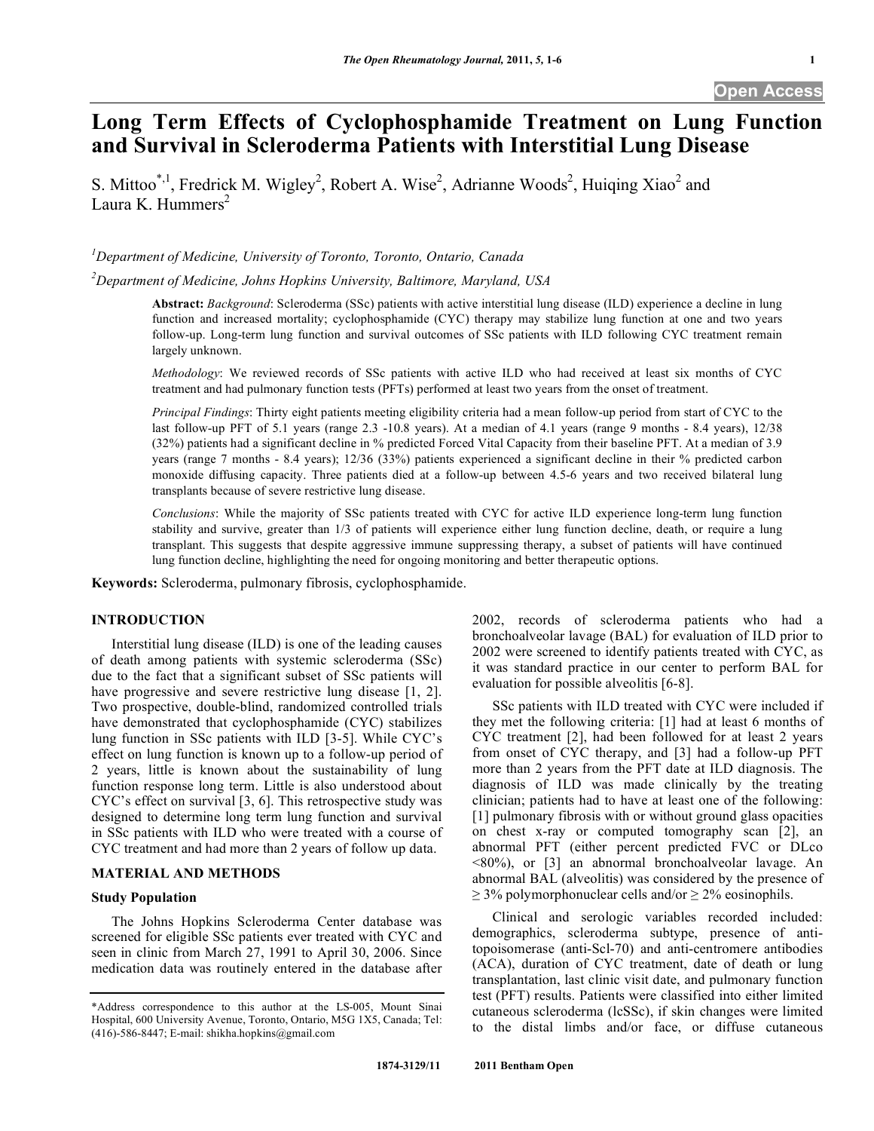# **Long Term Effects of Cyclophosphamide Treatment on Lung Function and Survival in Scleroderma Patients with Interstitial Lung Disease**

S. Mittoo<sup>\*,1</sup>, Fredrick M. Wigley<sup>2</sup>, Robert A. Wise<sup>2</sup>, Adrianne Woods<sup>2</sup>, Huiqing Xiao<sup>2</sup> and Laura K. Hummers<sup>2</sup>

*1 Department of Medicine, University of Toronto, Toronto, Ontario, Canada* 

*2 Department of Medicine, Johns Hopkins University, Baltimore, Maryland, USA* 

**Abstract:** *Background*: Scleroderma (SSc) patients with active interstitial lung disease (ILD) experience a decline in lung function and increased mortality; cyclophosphamide (CYC) therapy may stabilize lung function at one and two years follow-up. Long-term lung function and survival outcomes of SSc patients with ILD following CYC treatment remain largely unknown.

*Methodology*: We reviewed records of SSc patients with active ILD who had received at least six months of CYC treatment and had pulmonary function tests (PFTs) performed at least two years from the onset of treatment.

*Principal Findings*: Thirty eight patients meeting eligibility criteria had a mean follow-up period from start of CYC to the last follow-up PFT of 5.1 years (range 2.3 -10.8 years). At a median of 4.1 years (range 9 months - 8.4 years), 12/38 (32%) patients had a significant decline in % predicted Forced Vital Capacity from their baseline PFT. At a median of 3.9 years (range 7 months - 8.4 years); 12/36 (33%) patients experienced a significant decline in their % predicted carbon monoxide diffusing capacity. Three patients died at a follow-up between 4.5-6 years and two received bilateral lung transplants because of severe restrictive lung disease.

*Conclusions*: While the majority of SSc patients treated with CYC for active ILD experience long-term lung function stability and survive, greater than 1/3 of patients will experience either lung function decline, death, or require a lung transplant. This suggests that despite aggressive immune suppressing therapy, a subset of patients will have continued lung function decline, highlighting the need for ongoing monitoring and better therapeutic options.

**Keywords:** Scleroderma, pulmonary fibrosis, cyclophosphamide.

# **INTRODUCTION**

 Interstitial lung disease (ILD) is one of the leading causes of death among patients with systemic scleroderma (SSc) due to the fact that a significant subset of SSc patients will have progressive and severe restrictive lung disease [1, 2]. Two prospective, double-blind, randomized controlled trials have demonstrated that cyclophosphamide (CYC) stabilizes lung function in SSc patients with ILD [3-5]. While CYC's effect on lung function is known up to a follow-up period of 2 years, little is known about the sustainability of lung function response long term. Little is also understood about CYC's effect on survival [3, 6]. This retrospective study was designed to determine long term lung function and survival in SSc patients with ILD who were treated with a course of CYC treatment and had more than 2 years of follow up data.

# **MATERIAL AND METHODS**

## **Study Population**

 The Johns Hopkins Scleroderma Center database was screened for eligible SSc patients ever treated with CYC and seen in clinic from March 27, 1991 to April 30, 2006. Since medication data was routinely entered in the database after

2002, records of scleroderma patients who had a bronchoalveolar lavage (BAL) for evaluation of ILD prior to 2002 were screened to identify patients treated with CYC, as it was standard practice in our center to perform BAL for evaluation for possible alveolitis [6-8].

 SSc patients with ILD treated with CYC were included if they met the following criteria: [1] had at least 6 months of CYC treatment [2], had been followed for at least 2 years from onset of CYC therapy, and [3] had a follow-up PFT more than 2 years from the PFT date at ILD diagnosis. The diagnosis of ILD was made clinically by the treating clinician; patients had to have at least one of the following: [1] pulmonary fibrosis with or without ground glass opacities on chest x-ray or computed tomography scan [2], an abnormal PFT (either percent predicted FVC or DLco <80%), or [3] an abnormal bronchoalveolar lavage. An abnormal BAL (alveolitis) was considered by the presence of  $\geq$  3% polymorphonuclear cells and/or  $\geq$  2% eosinophils.

 Clinical and serologic variables recorded included: demographics, scleroderma subtype, presence of antitopoisomerase (anti-Scl-70) and anti-centromere antibodies (ACA), duration of CYC treatment, date of death or lung transplantation, last clinic visit date, and pulmonary function test (PFT) results. Patients were classified into either limited cutaneous scleroderma (lcSSc), if skin changes were limited to the distal limbs and/or face, or diffuse cutaneous

<sup>\*</sup>Address correspondence to this author at the LS-005, Mount Sinai Hospital, 600 University Avenue, Toronto, Ontario, M5G 1X5, Canada; Tel:  $(416)$ -586-8447; E-mail: shikha.hopkins@gmail.com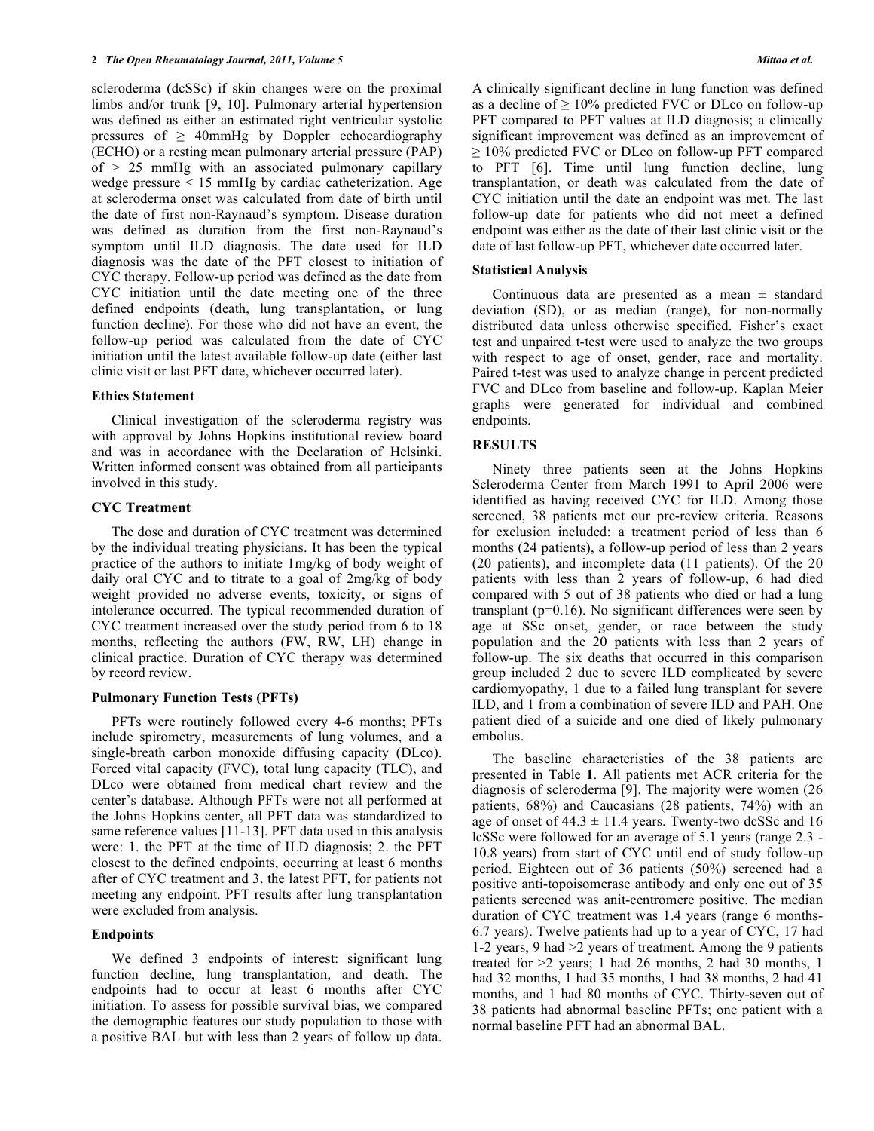scleroderma (dcSSc) if skin changes were on the proximal limbs and/or trunk [9, 10]. Pulmonary arterial hypertension was defined as either an estimated right ventricular systolic pressures of  $\geq$  40mmHg by Doppler echocardiography (ECHO) or a resting mean pulmonary arterial pressure (PAP) of > 25 mmHg with an associated pulmonary capillary wedge pressure < 15 mmHg by cardiac catheterization. Age at scleroderma onset was calculated from date of birth until the date of first non-Raynaud's symptom. Disease duration was defined as duration from the first non-Raynaud's symptom until ILD diagnosis. The date used for ILD diagnosis was the date of the PFT closest to initiation of CYC therapy. Follow-up period was defined as the date from CYC initiation until the date meeting one of the three defined endpoints (death, lung transplantation, or lung function decline). For those who did not have an event, the follow-up period was calculated from the date of CYC initiation until the latest available follow-up date (either last clinic visit or last PFT date, whichever occurred later).

## **Ethics Statement**

 Clinical investigation of the scleroderma registry was with approval by Johns Hopkins institutional review board and was in accordance with the Declaration of Helsinki. Written informed consent was obtained from all participants involved in this study.

# **CYC Treatment**

 The dose and duration of CYC treatment was determined by the individual treating physicians. It has been the typical practice of the authors to initiate 1mg/kg of body weight of daily oral CYC and to titrate to a goal of 2mg/kg of body weight provided no adverse events, toxicity, or signs of intolerance occurred. The typical recommended duration of CYC treatment increased over the study period from 6 to 18 months, reflecting the authors (FW, RW, LH) change in clinical practice. Duration of CYC therapy was determined by record review.

# **Pulmonary Function Tests (PFTs)**

 PFTs were routinely followed every 4-6 months; PFTs include spirometry, measurements of lung volumes, and a single-breath carbon monoxide diffusing capacity (DLco). Forced vital capacity (FVC), total lung capacity (TLC), and DLco were obtained from medical chart review and the center's database. Although PFTs were not all performed at the Johns Hopkins center, all PFT data was standardized to same reference values [11-13]. PFT data used in this analysis were: 1. the PFT at the time of ILD diagnosis; 2. the PFT closest to the defined endpoints, occurring at least 6 months after of CYC treatment and 3. the latest PFT, for patients not meeting any endpoint. PFT results after lung transplantation were excluded from analysis.

# **Endpoints**

 We defined 3 endpoints of interest: significant lung function decline, lung transplantation, and death. The endpoints had to occur at least 6 months after CYC initiation. To assess for possible survival bias, we compared the demographic features our study population to those with a positive BAL but with less than 2 years of follow up data. A clinically significant decline in lung function was defined as a decline of  $\geq 10\%$  predicted FVC or DLco on follow-up PFT compared to PFT values at ILD diagnosis; a clinically significant improvement was defined as an improvement of  $\geq 10\%$  predicted FVC or DLco on follow-up PFT compared to PFT [6]. Time until lung function decline, lung transplantation, or death was calculated from the date of CYC initiation until the date an endpoint was met. The last follow-up date for patients who did not meet a defined endpoint was either as the date of their last clinic visit or the date of last follow-up PFT, whichever date occurred later.

# **Statistical Analysis**

Continuous data are presented as a mean  $\pm$  standard deviation (SD), or as median (range), for non-normally distributed data unless otherwise specified. Fisher's exact test and unpaired t-test were used to analyze the two groups with respect to age of onset, gender, race and mortality. Paired t-test was used to analyze change in percent predicted FVC and DLco from baseline and follow-up. Kaplan Meier graphs were generated for individual and combined endpoints.

# **RESULTS**

 Ninety three patients seen at the Johns Hopkins Scleroderma Center from March 1991 to April 2006 were identified as having received CYC for ILD. Among those screened, 38 patients met our pre-review criteria. Reasons for exclusion included: a treatment period of less than 6 months (24 patients), a follow-up period of less than 2 years (20 patients), and incomplete data (11 patients). Of the 20 patients with less than 2 years of follow-up, 6 had died compared with 5 out of 38 patients who died or had a lung transplant (p=0.16). No significant differences were seen by age at SSc onset, gender, or race between the study population and the 20 patients with less than 2 years of follow-up. The six deaths that occurred in this comparison group included 2 due to severe ILD complicated by severe cardiomyopathy, 1 due to a failed lung transplant for severe ILD, and 1 from a combination of severe ILD and PAH. One patient died of a suicide and one died of likely pulmonary embolus.

 The baseline characteristics of the 38 patients are presented in Table **1**. All patients met ACR criteria for the diagnosis of scleroderma [9]. The majority were women (26 patients, 68%) and Caucasians (28 patients, 74%) with an age of onset of  $44.3 \pm 11.4$  years. Twenty-two dcSSc and 16 lcSSc were followed for an average of 5.1 years (range 2.3 - 10.8 years) from start of CYC until end of study follow-up period. Eighteen out of 36 patients (50%) screened had a positive anti-topoisomerase antibody and only one out of 35 patients screened was anit-centromere positive. The median duration of CYC treatment was 1.4 years (range 6 months-6.7 years). Twelve patients had up to a year of CYC, 17 had 1-2 years, 9 had >2 years of treatment. Among the 9 patients treated for >2 years; 1 had 26 months, 2 had 30 months, 1 had 32 months, 1 had 35 months, 1 had 38 months, 2 had 41 months, and 1 had 80 months of CYC. Thirty-seven out of 38 patients had abnormal baseline PFTs; one patient with a normal baseline PFT had an abnormal BAL.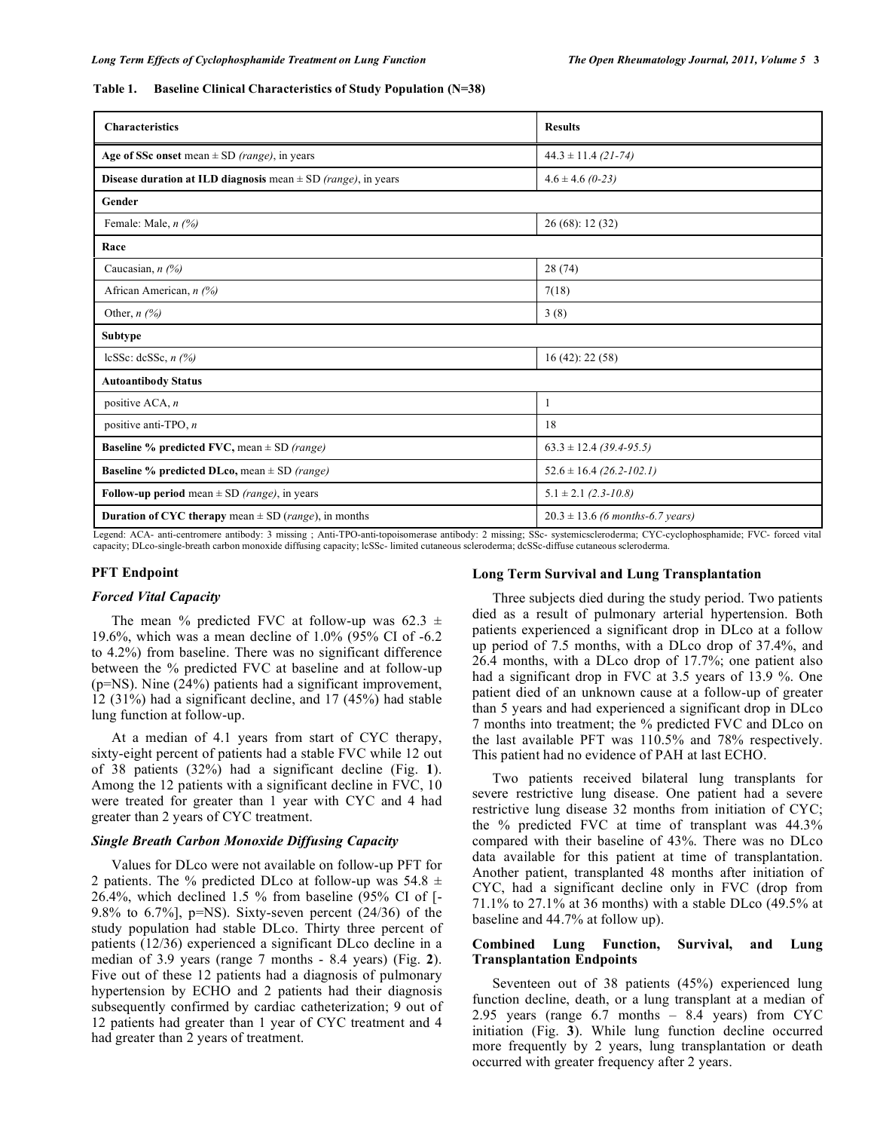#### **Table 1. Baseline Clinical Characteristics of Study Population (N=38)**

| <b>Characteristics</b>                                                           | <b>Results</b>                       |
|----------------------------------------------------------------------------------|--------------------------------------|
| Age of SSc onset mean $\pm$ SD (range), in years                                 | $44.3 \pm 11.4$ (21-74)              |
| <b>Disease duration at ILD diagnosis</b> mean $\pm$ SD <i>(range)</i> , in years | $4.6 \pm 4.6$ (0-23)                 |
| Gender                                                                           |                                      |
| Female: Male, $n$ (%)                                                            | 26(68): 12(32)                       |
| Race                                                                             |                                      |
| Caucasian, $n$ (%)                                                               | 28(74)                               |
| African American, n (%)                                                          | 7(18)                                |
| Other, $n$ (%)                                                                   | 3(8)                                 |
| <b>Subtype</b>                                                                   |                                      |
| lcSSc: dcSSc, $n$ (%)                                                            | 16 (42): 22 (58)                     |
| <b>Autoantibody Status</b>                                                       |                                      |
| positive ACA, $n$                                                                | 1                                    |
| positive anti-TPO, n                                                             | 18                                   |
| <b>Baseline % predicted FVC, mean</b> $\pm$ SD <i>(range)</i>                    | $63.3 \pm 12.4$ (39.4-95.5)          |
| <b>Baseline % predicted DLco, mean</b> $\pm$ SD <i>(range)</i>                   | $52.6 \pm 16.4$ (26.2-102.1)         |
| Follow-up period mean $\pm$ SD (range), in years                                 | $5.1 \pm 2.1$ (2.3-10.8)             |
| <b>Duration of CYC therapy</b> mean $\pm$ SD ( <i>range</i> ), in months         | $20.3 \pm 13.6$ (6 months-6.7 years) |

Legend: ACA- anti-centromere antibody: 3 missing ; Anti-TPO-anti-topoisomerase antibody: 2 missing; SSc- systemicscleroderma; CYC-cyclophosphamide; FVC- forced vital capacity; DLco-single-breath carbon monoxide diffusing capacity; lcSSc- limited cutaneous scleroderma; dcSSc-diffuse cutaneous scleroderma.

# **PFT Endpoint**

# *Forced Vital Capacity*

The mean % predicted FVC at follow-up was  $62.3 \pm$ 19.6%, which was a mean decline of 1.0% (95% CI of -6.2 to 4.2%) from baseline. There was no significant difference between the % predicted FVC at baseline and at follow-up (p=NS). Nine (24%) patients had a significant improvement, 12 (31%) had a significant decline, and 17 (45%) had stable lung function at follow-up.

 At a median of 4.1 years from start of CYC therapy, sixty-eight percent of patients had a stable FVC while 12 out of 38 patients (32%) had a significant decline (Fig. **1**). Among the 12 patients with a significant decline in FVC, 10 were treated for greater than 1 year with CYC and 4 had greater than 2 years of CYC treatment.

# *Single Breath Carbon Monoxide Diffusing Capacity*

 Values for DLco were not available on follow-up PFT for 2 patients. The % predicted DLco at follow-up was  $54.8 \pm$ 26.4%, which declined 1.5 % from baseline (95% CI of [- 9.8% to 6.7%],  $p=NS$ ). Sixty-seven percent (24/36) of the study population had stable DLco. Thirty three percent of patients (12/36) experienced a significant DLco decline in a median of 3.9 years (range 7 months - 8.4 years) (Fig. **2**). Five out of these 12 patients had a diagnosis of pulmonary hypertension by ECHO and 2 patients had their diagnosis subsequently confirmed by cardiac catheterization; 9 out of 12 patients had greater than 1 year of CYC treatment and 4 had greater than 2 years of treatment.

# **Long Term Survival and Lung Transplantation**

 Three subjects died during the study period. Two patients died as a result of pulmonary arterial hypertension. Both patients experienced a significant drop in DLco at a follow up period of 7.5 months, with a DLco drop of 37.4%, and 26.4 months, with a DLco drop of 17.7%; one patient also had a significant drop in FVC at 3.5 years of 13.9 %. One patient died of an unknown cause at a follow-up of greater than 5 years and had experienced a significant drop in DLco 7 months into treatment; the % predicted FVC and DLco on the last available PFT was 110.5% and 78% respectively. This patient had no evidence of PAH at last ECHO.

 Two patients received bilateral lung transplants for severe restrictive lung disease. One patient had a severe restrictive lung disease 32 months from initiation of CYC; the % predicted FVC at time of transplant was 44.3% compared with their baseline of 43%. There was no DLco data available for this patient at time of transplantation. Another patient, transplanted 48 months after initiation of CYC, had a significant decline only in FVC (drop from 71.1% to 27.1% at 36 months) with a stable DLco (49.5% at baseline and 44.7% at follow up).

# **Combined Lung Function, Survival, and Lung Transplantation Endpoints**

 Seventeen out of 38 patients (45%) experienced lung function decline, death, or a lung transplant at a median of 2.95 years (range 6.7 months – 8.4 years) from CYC initiation (Fig. **3**). While lung function decline occurred more frequently by 2 years, lung transplantation or death occurred with greater frequency after 2 years.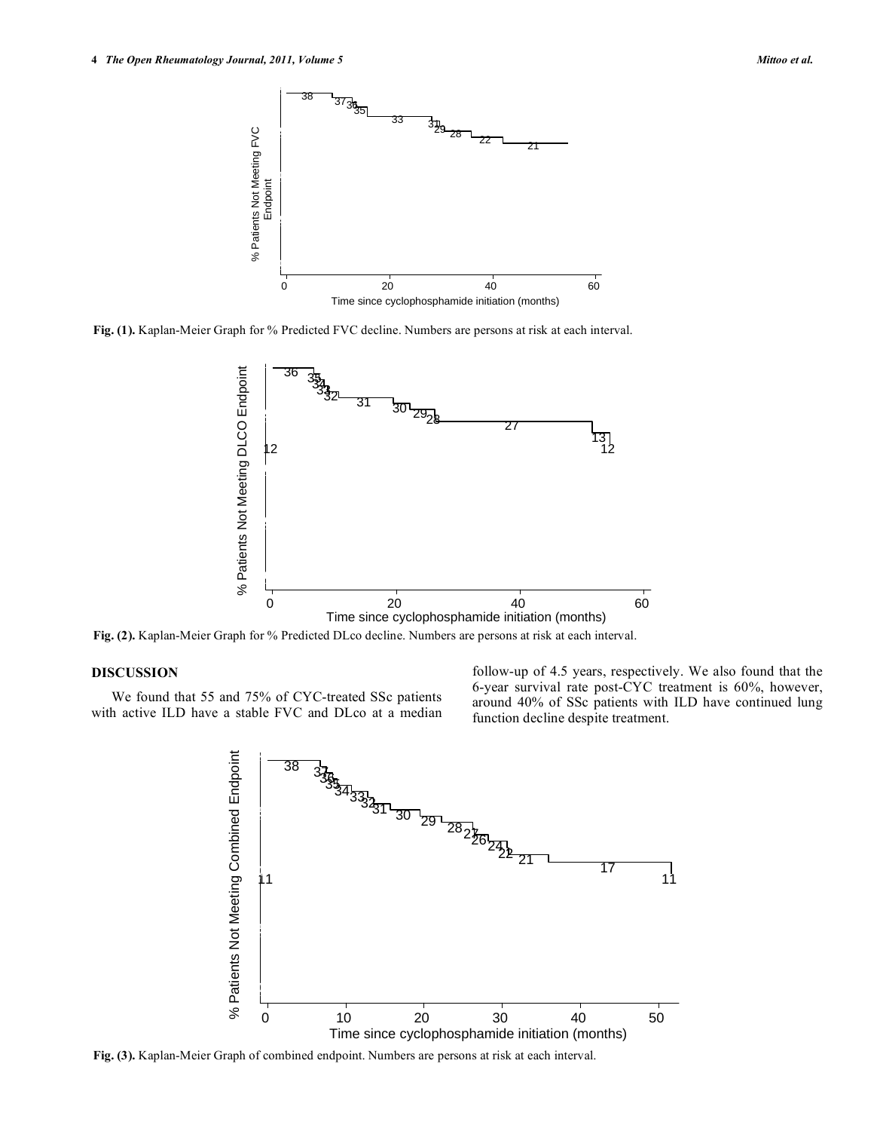

**Fig. (1).** Kaplan-Meier Graph for % Predicted FVC decline. Numbers are persons at risk at each interval.



**Fig. (2).** Kaplan-Meier Graph for % Predicted DLco decline. Numbers are persons at risk at each interval.

# **DISCUSSION**

 We found that 55 and 75% of CYC-treated SSc patients with active ILD have a stable FVC and DLco at a median follow-up of 4.5 years, respectively. We also found that the 6-year survival rate post-CYC treatment is 60%, however, around 40% of SSc patients with ILD have continued lung function decline despite treatment.



**Fig. (3).** Kaplan-Meier Graph of combined endpoint. Numbers are persons at risk at each interval.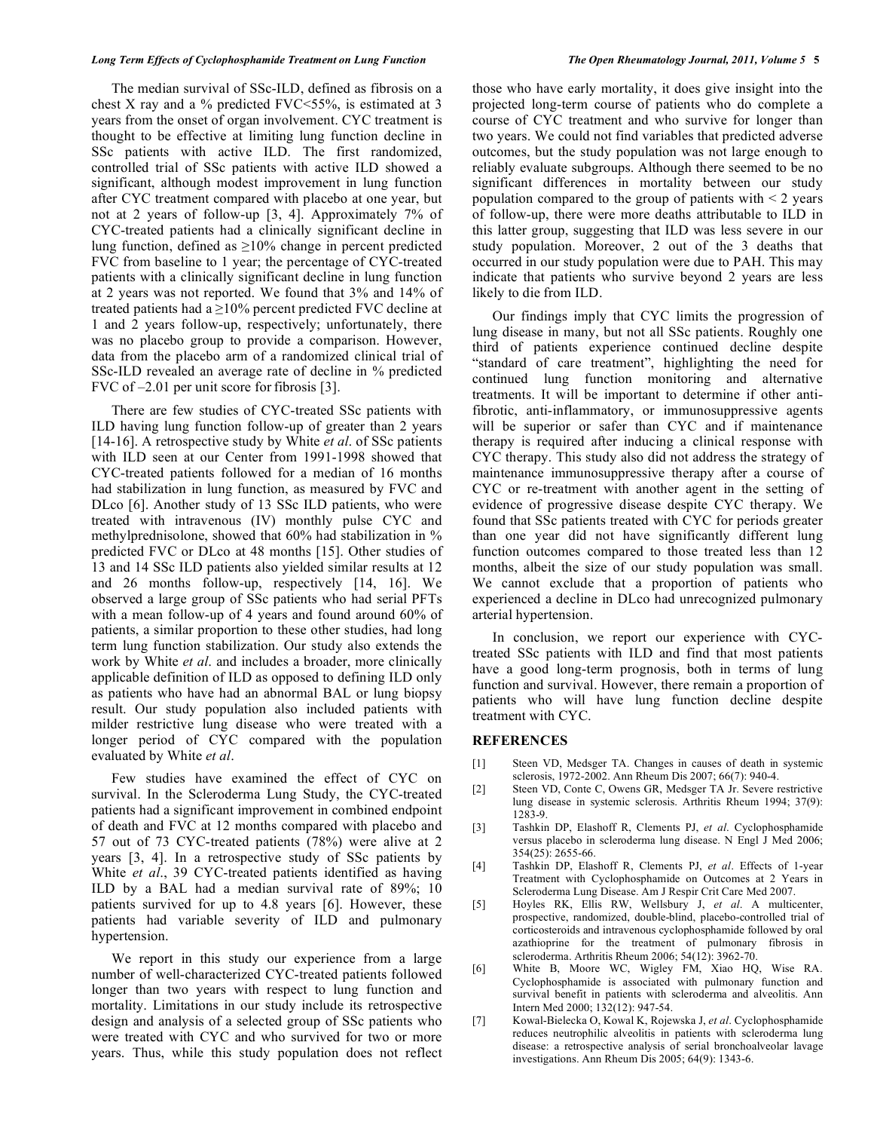## *Long Term Effects of Cyclophosphamide Treatment on Lung Function The Open Rheumatology Journal, 2011, Volume 5* **5**

 The median survival of SSc-ILD, defined as fibrosis on a chest X ray and a % predicted FVC<55%, is estimated at 3 years from the onset of organ involvement. CYC treatment is thought to be effective at limiting lung function decline in SSc patients with active ILD. The first randomized, controlled trial of SSc patients with active ILD showed a significant, although modest improvement in lung function after CYC treatment compared with placebo at one year, but not at 2 years of follow-up [3, 4]. Approximately 7% of CYC-treated patients had a clinically significant decline in lung function, defined as  $\geq 10\%$  change in percent predicted FVC from baseline to 1 year; the percentage of CYC-treated patients with a clinically significant decline in lung function at 2 years was not reported. We found that 3% and 14% of treated patients had a  $\geq 10\%$  percent predicted FVC decline at 1 and 2 years follow-up, respectively; unfortunately, there was no placebo group to provide a comparison. However, data from the placebo arm of a randomized clinical trial of SSc-ILD revealed an average rate of decline in % predicted FVC of –2.01 per unit score for fibrosis [3].

 There are few studies of CYC-treated SSc patients with ILD having lung function follow-up of greater than 2 years [14-16]. A retrospective study by White *et al*. of SSc patients with ILD seen at our Center from 1991-1998 showed that CYC-treated patients followed for a median of 16 months had stabilization in lung function, as measured by FVC and DLco [6]. Another study of 13 SSc ILD patients, who were treated with intravenous (IV) monthly pulse CYC and methylprednisolone, showed that 60% had stabilization in % predicted FVC or DLco at 48 months [15]. Other studies of 13 and 14 SSc ILD patients also yielded similar results at 12 and 26 months follow-up, respectively [14, 16]. We observed a large group of SSc patients who had serial PFTs with a mean follow-up of 4 years and found around 60% of patients, a similar proportion to these other studies, had long term lung function stabilization. Our study also extends the work by White *et al*. and includes a broader, more clinically applicable definition of ILD as opposed to defining ILD only as patients who have had an abnormal BAL or lung biopsy result. Our study population also included patients with milder restrictive lung disease who were treated with a longer period of CYC compared with the population evaluated by White *et al*.

 Few studies have examined the effect of CYC on survival. In the Scleroderma Lung Study, the CYC-treated patients had a significant improvement in combined endpoint of death and FVC at 12 months compared with placebo and 57 out of 73 CYC-treated patients (78%) were alive at 2 years [3, 4]. In a retrospective study of SSc patients by White *et al*., 39 CYC-treated patients identified as having ILD by a BAL had a median survival rate of 89%; 10 patients survived for up to 4.8 years [6]. However, these patients had variable severity of ILD and pulmonary hypertension.

 We report in this study our experience from a large number of well-characterized CYC-treated patients followed longer than two years with respect to lung function and mortality. Limitations in our study include its retrospective design and analysis of a selected group of SSc patients who were treated with CYC and who survived for two or more years. Thus, while this study population does not reflect those who have early mortality, it does give insight into the projected long-term course of patients who do complete a course of CYC treatment and who survive for longer than two years. We could not find variables that predicted adverse outcomes, but the study population was not large enough to reliably evaluate subgroups. Although there seemed to be no significant differences in mortality between our study population compared to the group of patients with  $\leq 2$  years of follow-up, there were more deaths attributable to ILD in this latter group, suggesting that ILD was less severe in our study population. Moreover, 2 out of the 3 deaths that occurred in our study population were due to PAH. This may indicate that patients who survive beyond 2 years are less likely to die from ILD.

 Our findings imply that CYC limits the progression of lung disease in many, but not all SSc patients. Roughly one third of patients experience continued decline despite "standard of care treatment", highlighting the need for continued lung function monitoring and alternative treatments. It will be important to determine if other antifibrotic, anti-inflammatory, or immunosuppressive agents will be superior or safer than CYC and if maintenance therapy is required after inducing a clinical response with CYC therapy. This study also did not address the strategy of maintenance immunosuppressive therapy after a course of CYC or re-treatment with another agent in the setting of evidence of progressive disease despite CYC therapy. We found that SSc patients treated with CYC for periods greater than one year did not have significantly different lung function outcomes compared to those treated less than 12 months, albeit the size of our study population was small. We cannot exclude that a proportion of patients who experienced a decline in DLco had unrecognized pulmonary arterial hypertension.

In conclusion, we report our experience with CYCtreated SSc patients with ILD and find that most patients have a good long-term prognosis, both in terms of lung function and survival. However, there remain a proportion of patients who will have lung function decline despite treatment with CYC.

#### **REFERENCES**

- [1] Steen VD, Medsger TA. Changes in causes of death in systemic sclerosis, 1972-2002. Ann Rheum Dis 2007; 66(7): 940-4.
- [2] Steen VD, Conte C, Owens GR, Medsger TA Jr. Severe restrictive lung disease in systemic sclerosis. Arthritis Rheum 1994; 37(9): 1283-9.
- [3] Tashkin DP, Elashoff R, Clements PJ, *et al*. Cyclophosphamide versus placebo in scleroderma lung disease. N Engl J Med 2006; 354(25): 2655-66.
- [4] Tashkin DP, Elashoff R, Clements PJ, *et al*. Effects of 1-year Treatment with Cyclophosphamide on Outcomes at 2 Years in Scleroderma Lung Disease. Am J Respir Crit Care Med 2007.
- [5] Hoyles RK, Ellis RW, Wellsbury J, *et al*. A multicenter, prospective, randomized, double-blind, placebo-controlled trial of corticosteroids and intravenous cyclophosphamide followed by oral azathioprine for the treatment of pulmonary fibrosis in scleroderma. Arthritis Rheum 2006; 54(12): 3962-70.
- [6] White B, Moore WC, Wigley FM, Xiao HQ, Wise RA. Cyclophosphamide is associated with pulmonary function and survival benefit in patients with scleroderma and alveolitis. Ann Intern Med 2000; 132(12): 947-54.
- [7] Kowal-Bielecka O, Kowal K, Rojewska J, *et al*. Cyclophosphamide reduces neutrophilic alveolitis in patients with scleroderma lung disease: a retrospective analysis of serial bronchoalveolar lavage investigations. Ann Rheum Dis 2005; 64(9): 1343-6.